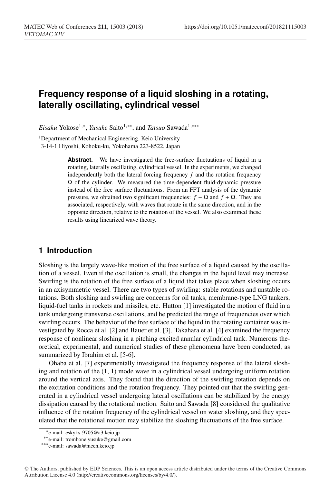# **Frequency response of a liquid sloshing in a rotating, laterally oscillating, cylindrical vessel**

*Eisaku* Yokose<sup>1,∗</sup>, *Yusuke* Saito<sup>1,∗∗</sup>, and *Tatsuo* Sawada<sup>1,</sup> \*\*\*

<sup>1</sup>Department of Mechanical Engineering, Keio University 3-14-1 Hiyoshi, Kohoku-ku, Yokohama 223-8522, Japan

> Abstract. We have investigated the free-surface fluctuations of liquid in a rotating, laterally oscillating, cylindrical vessel. In the experiments, we changed independently both the lateral forcing frequency *f* and the rotation frequency  $\Omega$  of the cylinder. We measured the time-dependent fluid-dynamic pressure instead of the free surface fluctuations. From an FFT analysis of the dynamic pressure, we obtained two significant frequencies: *f* − Ω and *f* + Ω. They are associated, respectively, with waves that rotate in the same direction, and in the opposite direction, relative to the rotation of the vessel. We also examined these results using linearized wave theory.

# **1 Introduction**

Sloshing is the largely wave-like motion of the free surface of a liquid caused by the oscillation of a vessel. Even if the oscillation is small, the changes in the liquid level may increase. Swirling is the rotation of the free surface of a liquid that takes place when sloshing occurs in an axisymmetric vessel. There are two types of swirling: stable rotations and unstable rotations. Both sloshing and swirling are concerns for oil tanks, membrane-type LNG tankers, liquid-fuel tanks in rockets and missiles, etc. Hutton [1] investigated the motion of fluid in a tank undergoing transverse oscillations, and he predicted the range of frequencies over which swirling occurs. The behavior of the free surface of the liquid in the rotating container was investigated by Rocca et al. [2] and Bauer et al. [3]. Takahara et al. [4] examined the frequency response of nonlinear sloshing in a pitching excited annular cylindrical tank. Numerous theoretical, experimental, and numerical studies of these phenomena have been conducted, as summarized by Ibrahim et al. [5-6].

Ohaba et al. [7] experimentally investigated the frequency response of the lateral sloshing and rotation of the  $(1, 1)$  mode wave in a cylindrical vessel undergoing uniform rotation around the vertical axis. They found that the direction of the swirling rotation depends on the excitation conditions and the rotation frequency. They pointed out that the swirling generated in a cylindrical vessel undergoing lateral oscillations can be stabilized by the energy dissipation caused by the rotational motion. Saito and Sawada [8] considered the qualitative influence of the rotation frequency of the cylindrical vessel on water sloshing, and they speculated that the rotational motion may stabilize the sloshing fluctuations of the free surface.

<sup>∗</sup>e-mail: eskyks-9705@a3.keio.jp

<sup>∗∗</sup>e-mail: trombone.yusuke@gmail.com

<sup>∗∗∗</sup>e-mail: sawada@mech.keio.jp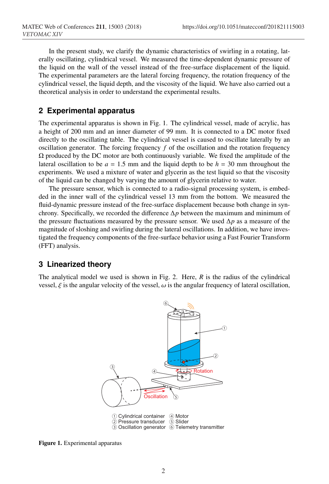In the present study, we clarify the dynamic characteristics of swirling in a rotating, laterally oscillating, cylindrical vessel. We measured the time-dependent dynamic pressure of the liquid on the wall of the vessel instead of the free-surface displacement of the liquid. The experimental parameters are the lateral forcing frequency, the rotation frequency of the cylindrical vessel, the liquid depth, and the viscosity of the liquid. We have also carried out a theoretical analysis in order to understand the experimental results.

# **2 Experimental apparatus**

The experimental apparatus is shown in Fig. 1. The cylindrical vessel, made of acrylic, has a height of 200 mm and an inner diameter of 99 mm. It is connected to a DC motor fixed directly to the oscillating table. The cylindrical vessel is caused to oscillate laterally by an oscillation generator. The forcing frequency  $f$  of the oscillation and the rotation frequency  $Ω$  produced by the DC motor are both continuously variable. We fixed the amplitude of the lateral oscillation to be *a* = 1.5 mm and the liquid depth to be *h* = 30 mm throughout the experiments. We used a mixture of water and glycerin as the test liquid so that the viscosity of the liquid can be changed by varying the amount of glycerin relative to water.

The pressure sensor, which is connected to a radio-signal processing system, is embedded in the inner wall of the cylindrical vessel 13 mm from the bottom. We measured the fluid-dynamic pressure instead of the free-surface displacement because both change in synchrony. Specifically, we recorded the difference  $\Delta p$  between the maximum and minimum of the pressure fluctuations measured by the pressure sensor. We used ∆*p* as a measure of the magnitude of sloshing and swirling during the lateral oscillations. In addition, we have investigated the frequency components of the free-surface behavior using a Fast Fourier Transform (FFT) analysis.

# **3 Linearized theory**

The analytical model we used is shown in Fig. 2. Here, *R* is the radius of the cylindrical vessel,  $\xi$  is the angular velocity of the vessel,  $\omega$  is the angular frequency of lateral oscillation,



Figure 1. Experimental apparatus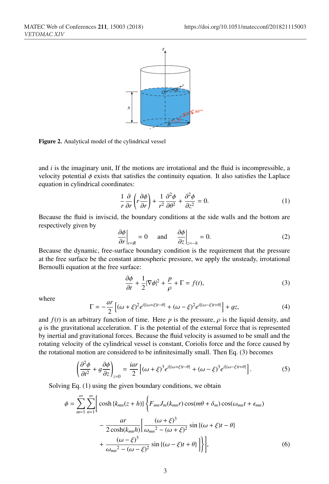

Figure 2. Analytical model of the cylindrical vessel

and *i* is the imaginary unit, If the motions are irrotational and the fluid is incompressible, a velocity potential  $\phi$  exists that satisfies the continuity equation. It also satisfies the Laplace equation in cylindrical coordinates:

$$
\frac{1}{r}\frac{\partial}{\partial r}\left(r\frac{\partial\phi}{\partial r}\right) + \frac{1}{r^2}\frac{\partial^2\phi}{\partial\theta^2} + \frac{\partial^2\phi}{\partial z^2} = 0.
$$
 (1)

Because the fluid is inviscid, the boundary conditions at the side walls and the bottom are respectively given by

$$
\left. \frac{\partial \phi}{\partial r} \right|_{r=R} = 0 \quad \text{and} \quad \left. \frac{\partial \phi}{\partial z} \right|_{z=-h} = 0. \tag{2}
$$

Because the dynamic, free-surface boundary condition is the requirement that the pressure at the free surface be the constant atmospheric pressure, we apply the unsteady, irrotational Bernoulli equation at the free surface:

$$
\frac{\partial \phi}{\partial t} + \frac{1}{2} |\nabla \phi|^2 + \frac{p}{\rho} + \Gamma = f(t),\tag{3}
$$

where

$$
\Gamma = -\frac{ar}{2} \left[ (\omega + \xi)^2 e^{i[(\omega + \xi)t - \theta]} + (\omega - \xi)^2 e^{i[(\omega - \xi)t + \theta]} \right] + gz,
$$
\n(4)

and  $f(t)$  is an arbitrary function of time. Here *p* is the pressure,  $\rho$  is the liquid density, and g is the gravitational acceleration.  $\Gamma$  is the potential of the external force that is represented by inertial and gravitational forces. Because the fluid velocity is assumed to be small and the rotating velocity of the cylindrical vessel is constant, Coriolis force and the force caused by the rotational motion are considered to be infinitesimally small. Then Eq. (3) becomes

$$
\left(\frac{\partial^2 \phi}{\partial t^2} + g \frac{\partial \phi}{\partial z}\right)_{z=0} = \frac{i a r}{2} \left[ (\omega + \xi)^3 e^{i[(\omega + \xi)t - \theta]} + (\omega - \xi)^3 e^{i[(\omega - \xi)t + \theta]} \right].
$$
 (5)

Solving Eq. (1) using the given boundary conditions, we obtain

$$
\phi = \sum_{m=1}^{\infty} \sum_{n=1}^{\infty} \left[ \cosh \{k_{mn}(z+h)\} \left\{ F_{mn} J_m(k_{mn}r) \cos(m\theta + \delta_m) \cos(\omega_{mn}t + \epsilon_{mn}) - \frac{ar}{2 \cosh(k_{mn}h)} \left[ \frac{(\omega + \xi)^3}{\omega_{mn}^2 - (\omega + \xi)^2} \sin \{(\omega + \xi)t - \theta \} + \frac{(\omega - \xi)^3}{\omega_{mn}^2 - (\omega - \xi)^2} \sin \{(\omega - \xi)t + \theta \} \right] \right\},\tag{6}
$$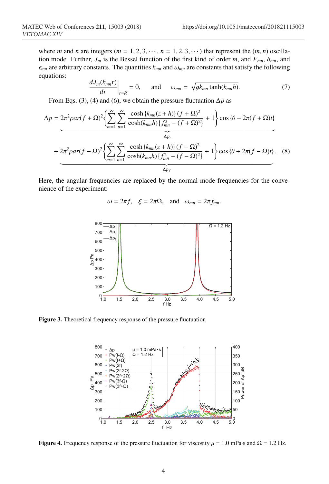where *m* and *n* are integers ( $m = 1, 2, 3, \dots$ ,  $n = 1, 2, 3, \dots$ ) that represent the  $(m, n)$  oscillation mode. Further,  $J_m$  is the Bessel function of the first kind of order *m*, and  $F_{mn}$ ,  $\delta_{mn}$ , and  $\epsilon_{mn}$  are arbitrary constants. The quantities  $k_{mn}$  and  $\omega_{mn}$  are constants that satisfy the following equations:

$$
\left. \frac{dJ_m(k_{mn}r)}{dr} \right|_{r=R} = 0, \quad \text{and} \quad \omega_{mn} = \sqrt{gk_{mn}\tanh(k_{mn}h)}.
$$
 (7)

From Eqs. (3), (4) and (6), we obtain the pressure fluctuation ∆*p* as

$$
\Delta p = 2\pi^2 \rho a r(f + \Omega)^2 \left\{ \sum_{m=1}^{\infty} \sum_{n=1}^{\infty} \frac{\cosh\{k_{mn}(z+h)\}(f+\Omega)^2}{\cosh(k_{mn}h)\{f_{mn}^2 - (f+\Omega)^2\}} + 1 \right\} \cos\{\theta - 2\pi (f+\Omega)t\}
$$
  
+ 
$$
2\pi^2 \rho a r(f - \Omega)^2 \left\{ \sum_{m=1}^{\infty} \sum_{n=1}^{\infty} \frac{\cosh\{k_{mn}(z+h)\}(f-\Omega)^2}{\cosh(k_{mn}h)\{f_{mn}^2 - (f-\Omega)^2\}} + 1 \right\} \cos\{\theta + 2\pi (f-\Omega)t\}. \tag{8}
$$

Here, the angular frequencies are replaced by the normal-mode frequencies for the convenience of the experiment:

$$
\omega = 2\pi f
$$
,  $\xi = 2\pi \Omega$ , and  $\omega_{mn} = 2\pi f_{mn}$ .



Figure 3. Theoretical frequency response of the pressure fluctuation



**Figure 4.** Frequency response of the pressure fluctuation for viscosity  $\mu = 1.0$  mPa·s and  $\Omega = 1.2$  Hz.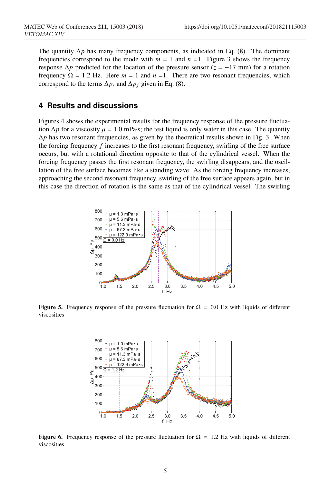The quantity  $\Delta p$  has many frequency components, as indicated in Eq. (8). The dominant frequencies correspond to the mode with  $m = 1$  and  $n = 1$ . Figure 3 shows the frequency response  $\Delta p$  predicted for the location of the pressure sensor ( $z = -17$  mm) for a rotation frequency  $\Omega = 1.2$  Hz. Here  $m = 1$  and  $n = 1$ . There are two resonant frequencies, which correspond to the terms  $\Delta p_r$  and  $\Delta p_f$  given in Eq. (8).

### **4 Results and discussions**

Figures 4 shows the experimental results for the frequency response of the pressure fluctuation  $\Delta p$  for a viscosity  $\mu = 1.0$  mPa·s; the test liquid is only water in this case. The quantity  $\Delta p$  has two resonant frequencies, as given by the theoretical results shown in Fig. 3. When the forcing frequency *f* increases to the first resonant frequency, swirling of the free surface occurs, but with a rotational direction opposite to that of the cylindrical vessel. When the forcing frequency passes the first resonant frequency, the swirling disappears, and the oscillation of the free surface becomes like a standing wave. As the forcing frequency increases, approaching the second resonant frequency, swirling of the free surface appears again, but in this case the direction of rotation is the same as that of the cylindrical vessel. The swirling



**Figure 5.** Frequency response of the pressure fluctuation for  $\Omega = 0.0$  Hz with liquids of different viscosities



**Figure 6.** Frequency response of the pressure fluctuation for  $\Omega = 1.2$  Hz with liquids of different viscosities